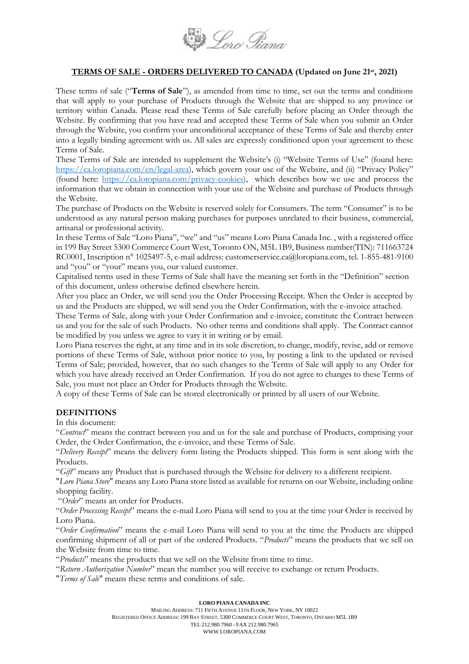

#### **TERMS OF SALE - ORDERS DELIVERED TO CANADA (Updated on June 21st, 2021)**

These terms of sale ("**Terms of Sale**"), as amended from time to time, set out the terms and conditions that will apply to your purchase of Products through the Website that are shipped to any province or territory within Canada. Please read these Terms of Sale carefully before placing an Order through the Website. By confirming that you have read and accepted these Terms of Sale when you submit an Order through the Website, you confirm your unconditional acceptance of these Terms of Sale and thereby enter into a legally binding agreement with us. All sales are expressly conditioned upon your agreement to these Terms of Sale.

These Terms of Sale are intended to supplement the Website's (i) "Website Terms of Use" (found here: <https://ca.loropiana.com/en/legal-area>), which govern your use of the Website, and (ii) "Privacy Policy" (found here: [https://ca.loropiana.com/privacy-cookies\)](https://ca.loropiana.com/privacy-cookies), which describes how we use and process the information that we obtain in connection with your use of the Website and purchase of Products through the Website.

The purchase of Products on the Website is reserved solely for Consumers. The term "Consumer" is to be understood as any natural person making purchases for purposes unrelated to their business, commercial, artisanal or professional activity.

In these Terms of Sale "Loro Piana", "we" and "us" means Loro Piana Canada Inc. , with a registered office in 199 Bay Street 5300 Commerce Court West, Toronto ON, M5L 1B9, Business number(TIN): 711663724 RC0001, Inscription n° 1025497-5, e-mail address: customerservice.ca@loropiana.com, tel. 1-855-481-9100 and "you" or "your" means you, our valued customer.

Capitalised terms used in these Terms of Sale shall have the meaning set forth in the "Definition" section of this document, unless otherwise defined elsewhere herein.

After you place an Order, we will send you the Order Processing Receipt. When the Order is accepted by us and the Products are shipped, we will send you the Order Confirmation, with the e-invoice attached.

These Terms of Sale, along with your Order Confirmation and e-invoice, constitute the Contract between us and you for the sale of such Products. No other terms and conditions shall apply. The Contract cannot be modified by you unless we agree to vary it in writing or by email.

Loro Piana reserves the right, at any time and in its sole discretion, to change, modify, revise, add or remove portions of these Terms of Sale, without prior notice to you, by posting a link to the updated or revised Terms of Sale; provided, however, that no such changes to the Terms of Sale will apply to any Order for which you have already received an Order Confirmation. If you do not agree to changes to these Terms of Sale, you must not place an Order for Products through the Website.

A copy of these Terms of Sale can be stored electronically or printed by all users of our Website.

#### **DEFINITIONS**

In this document:

"*Contract*" means the contract between you and us for the sale and purchase of Products, comprising your Order, the Order Confirmation, the e-invoice, and these Terms of Sale.

"*Delivery Receipt*" means the delivery form listing the Products shipped. This form is sent along with the Products.

"*Gift*" means any Product that is purchased through the Website for delivery to a different recipient.

"*Loro Piana Store*" means any Loro Piana store listed as available for returns on our Website, including online shopping facility.

"*Order*" means an order for Products.

"*Order Processing Receipt*" means the e-mail Loro Piana will send to you at the time your Order is received by Loro Piana.

"*Order Confirmation*" means the e-mail Loro Piana will send to you at the time the Products are shipped confirming shipment of all or part of the ordered Products. "*Products*" means the products that we sell on the Website from time to time.

"*Products*" means the products that we sell on the Website from time to time.

"*Return Authorization Number*" mean the number you will receive to exchange or return Products.

"*Terms of Sale*" means these terms and conditions of sale.

#### **LORO PIANA CANADA INC**

MAILING ADDRESS: 711 FIFTH AVENUE 11TH FLOOR, NEW YORK, NY 10022 REGISTERED OFFICE ADDRESS: 199 BAY STREET, 5300 COMMERCE COURT WEST, TORONTO, ONTARIO M5L 1B9 TEL 212.980.7960 - FAX 212.980.7965 WWW.LOROPIANA.COM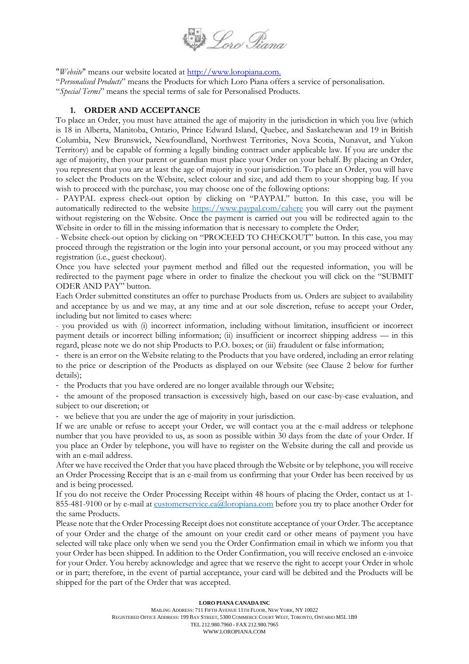

"*Website*" means our website located at [http://www.loropiana.com.](http://www.loropiana.com/)

"*Personalised Products*" means the Products for which Loro Piana offers a service of personalisation. "*Special Terms*" means the special terms of sale for Personalised Products.

#### **1. ORDER AND ACCEPTANCE**

To place an Order, you must have attained the age of majority in the jurisdiction in which you live (which is 18 in Alberta, Manitoba, Ontario, Prince Edward Island, Quebec, and Saskatchewan and 19 in British Columbia, New Brunswick, Newfoundland, Northwest Territories, Nova Scotia, Nunavut, and Yukon Territory) and be capable of forming a legally binding contract under applicable law. If you are under the age of majority, then your parent or guardian must place your Order on your behalf. By placing an Order, you represent that you are at least the age of majority in your jurisdiction. To place an Order, you will have to select the Products on the Website, select colour and size, and add them to your shopping bag. If you wish to proceed with the purchase, you may choose one of the following options:

- PAYPAL express check-out option by clicking on "PAYPAL" button. In this case, you will be automatically redirected to the website <https://www.paypal.com/cahere> you will carry out the payment without registering on the Website. Once the payment is carried out you will be redirected again to the Website in order to fill in the missing information that is necessary to complete the Order;

- Website check-out option by clicking on "PROCEED TO CHECKOUT" button. In this case, you may proceed through the registration or the login into your personal account, or you may proceed without any registration (i.e., guest checkout).

Once you have selected your payment method and filled out the requested information, you will be redirected to the payment page where in order to finalize the checkout you will click on the "SUBMIT ODER AND PAY" button.

Each Order submitted constitutes an offer to purchase Products from us. Orders are subject to availability and acceptance by us and we may, at any time and at our sole discretion, refuse to accept your Order, including but not limited to cases where:

- you provided us with (i) incorrect information, including without limitation, insufficient or incorrect payment details or incorrect billing information; (ii) insufficient or incorrect shipping address — in this regard, please note we do not ship Products to P.O. boxes; or (iii) fraudulent or false information;

- there is an error on the Website relating to the Products that you have ordered, including an error relating to the price or description of the Products as displayed on our Website (see Clause [2](#page-2-0) below for further details);

- the Products that you have ordered are no longer available through our Website;

- the amount of the proposed transaction is excessively high, based on our case-by-case evaluation, and subject to our discretion; or

- we believe that you are under the age of majority in your jurisdiction.

If we are unable or refuse to accept your Order, we will contact you at the e-mail address or telephone number that you have provided to us, as soon as possible within 30 days from the date of your Order. If you place an Order by telephone, you will have to register on the Website during the call and provide us with an e-mail address.

After we have received the Order that you have placed through the Website or by telephone, you will receive an Order Processing Receipt that is an e-mail from us confirming that your Order has been received by us and is being processed.

If you do not receive the Order Processing Receipt within 48 hours of placing the Order, contact us at 1 855-481-9100 or by e-mail at [customerservice.ca@loropiana.com](mailto:customerservice.ca@loropiana.com) before you try to place another Order for the same Products.

Please note that the Order Processing Receipt does not constitute acceptance of your Order. The acceptance of your Order and the charge of the amount on your credit card or other means of payment you have selected will take place only when we send you the Order Confirmation email in which we inform you that your Order has been shipped. In addition to the Order Confirmation, you will receive enclosed an e-invoice for your Order. You hereby acknowledge and agree that we reserve the right to accept your Order in whole or in part; therefore, in the event of partial acceptance, your card will be debited and the Products will be shipped for the part of the Order that was accepted.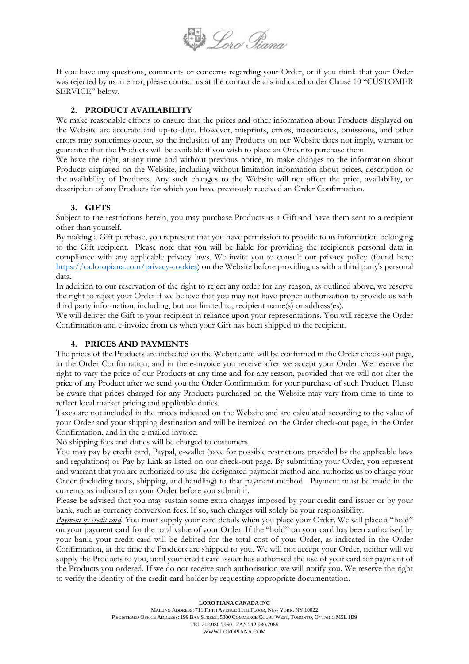

If you have any questions, comments or concerns regarding your Order, or if you think that your Order was rejected by us in error, please contact us at the contact details indicated under Claus[e 10](#page-6-0) "CUSTOMER SERVICE" below.

#### <span id="page-2-0"></span>**2. PRODUCT AVAILABILITY**

We make reasonable efforts to ensure that the prices and other information about Products displayed on the Website are accurate and up-to-date. However, misprints, errors, inaccuracies, omissions, and other errors may sometimes occur, so the inclusion of any Products on our Website does not imply, warrant or guarantee that the Products will be available if you wish to place an Order to purchase them.

We have the right, at any time and without previous notice, to make changes to the information about Products displayed on the Website, including without limitation information about prices, description or the availability of Products. Any such changes to the Website will not affect the price, availability, or description of any Products for which you have previously received an Order Confirmation.

### **3. GIFTS**

Subject to the restrictions herein, you may purchase Products as a Gift and have them sent to a recipient other than yourself.

By making a Gift purchase, you represent that you have permission to provide to us information belonging to the Gift recipient. Please note that you will be liable for providing the recipient's personal data in compliance with any applicable privacy laws. We invite you to consult our privacy policy (found here: [https://ca.loropiana.com/privacy-cookies\)](https://ca.loropiana.com/privacy-cookies) on the Website before providing us with a third party's personal data.

In addition to our reservation of the right to reject any order for any reason, as outlined above, we reserve the right to reject your Order if we believe that you may not have proper authorization to provide us with third party information, including, but not limited to, recipient name(s) or address(es).

We will deliver the Gift to your recipient in reliance upon your representations. You will receive the Order Confirmation and e-invoice from us when your Gift has been shipped to the recipient.

#### **4. PRICES AND PAYMENTS**

The prices of the Products are indicated on the Website and will be confirmed in the Order check-out page, in the Order Confirmation, and in the e-invoice you receive after we accept your Order. We reserve the right to vary the price of our Products at any time and for any reason, provided that we will not alter the price of any Product after we send you the Order Confirmation for your purchase of such Product. Please be aware that prices charged for any Products purchased on the Website may vary from time to time to reflect local market pricing and applicable duties.

Taxes are not included in the prices indicated on the Website and are calculated according to the value of your Order and your shipping destination and will be itemized on the Order check-out page, in the Order Confirmation, and in the e-mailed invoice.

No shipping fees and duties will be charged to costumers.

You may pay by credit card, Paypal, e-wallet (save for possible restrictions provided by the applicable laws and regulations) or Pay by Link as listed on our check-out page. By submitting your Order, you represent and warrant that you are authorized to use the designated payment method and authorize us to charge your Order (including taxes, shipping, and handling) to that payment method. Payment must be made in the currency as indicated on your Order before you submit it.

Please be advised that you may sustain some extra charges imposed by your credit card issuer or by your bank, such as currency conversion fees. If so, such charges will solely be your responsibility.

*Payment by credit card.* You must supply your card details when you place your Order. We will place a "hold" on your payment card for the total value of your Order. If the "hold" on your card has been authorised by your bank, your credit card will be debited for the total cost of your Order, as indicated in the Order Confirmation, at the time the Products are shipped to you. We will not accept your Order, neither will we supply the Products to you, until your credit card issuer has authorised the use of your card for payment of the Products you ordered. If we do not receive such authorisation we will notify you. We reserve the right to verify the identity of the credit card holder by requesting appropriate documentation.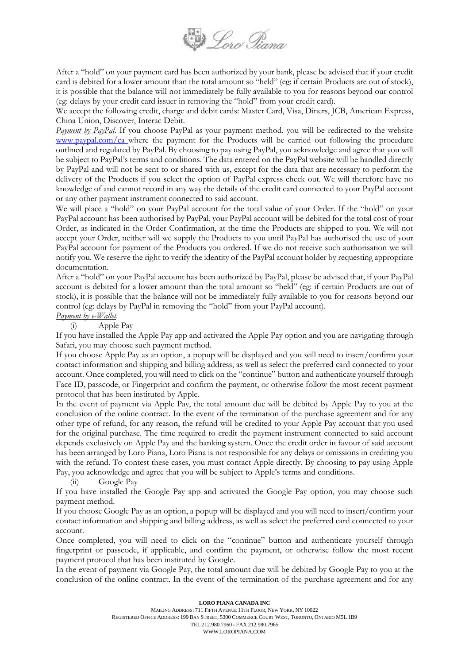

After a "hold" on your payment card has been authorized by your bank, please be advised that if your credit card is debited for a lower amount than the total amount so "held" (eg: if certain Products are out of stock), it is possible that the balance will not immediately be fully available to you for reasons beyond our control (eg: delays by your credit card issuer in removing the "hold" from your credit card).

We accept the following credit, charge and debit cards: Master Card, Visa, Diners, JCB, American Express, China Union, Discover, Interac Debit.

*Payment by PayPal*. If you choose PayPal as your payment method, you will be redirected to the websit[e](http://www.paypal.com/) [www.paypal.com/](http://www.paypal.com/)ca where the payment for the Products will be carried out following the procedure outlined and regulated by PayPal. By choosing to pay using PayPal, you acknowledge and agree that you will be subject to PayPal's terms and conditions. The data entered on the PayPal website will be handled directly by PayPal and will not be sent to or shared with us, except for the data that are necessary to perform the delivery of the Products if you select the option of PayPal express check out. We will therefore have no knowledge of and cannot record in any way the details of the credit card connected to your PayPal account or any other payment instrument connected to said account.

We will place a "hold" on your PayPal account for the total value of your Order. If the "hold" on your PayPal account has been authorised by PayPal, your PayPal account will be debited for the total cost of your Order, as indicated in the Order Confirmation, at the time the Products are shipped to you. We will not accept your Order, neither will we supply the Products to you until PayPal has authorised the use of your PayPal account for payment of the Products you ordered. If we do not receive such authorisation we will notify you. We reserve the right to verify the identity of the PayPal account holder by requesting appropriate documentation.

After a "hold" on your PayPal account has been authorized by PayPal, please be advised that, if your PayPal account is debited for a lower amount than the total amount so "held" (eg: if certain Products are out of stock), it is possible that the balance will not be immediately fully available to you for reasons beyond our control (eg: delays by PayPal in removing the "hold" from your PayPal account).

## *Payment by e-Wallet.*

(i) Apple Pay

If you have installed the Apple Pay app and activated the Apple Pay option and you are navigating through Safari, you may choose such payment method.

If you choose Apple Pay as an option, a popup will be displayed and you will need to insert/confirm your contact information and shipping and billing address, as well as select the preferred card connected to your account. Once completed, you will need to click on the "continue" button and authenticate yourself through Face ID, passcode, or Fingerprint and confirm the payment, or otherwise follow the most recent payment protocol that has been instituted by Apple.

In the event of payment via Apple Pay, the total amount due will be debited by Apple Pay to you at the conclusion of the online contract. In the event of the termination of the purchase agreement and for any other type of refund, for any reason, the refund will be credited to your Apple Pay account that you used for the original purchase. The time required to credit the payment instrument connected to said account depends exclusively on Apple Pay and the banking system. Once the credit order in favour of said account has been arranged by Loro Piana, Loro Piana is not responsible for any delays or omissions in crediting you with the refund. To contest these cases, you must contact Apple directly. By choosing to pay using Apple Pay, you acknowledge and agree that you will be subject to Apple's terms and conditions.

(ii) Google Pay

If you have installed the Google Pay app and activated the Google Pay option, you may choose such payment method.

If you choose Google Pay as an option, a popup will be displayed and you will need to insert/confirm your contact information and shipping and billing address, as well as select the preferred card connected to your account.

Once completed, you will need to click on the "continue" button and authenticate yourself through fingerprint or passcode, if applicable, and confirm the payment, or otherwise follow the most recent payment protocol that has been instituted by Google.

In the event of payment via Google Pay, the total amount due will be debited by Google Pay to you at the conclusion of the online contract. In the event of the termination of the purchase agreement and for any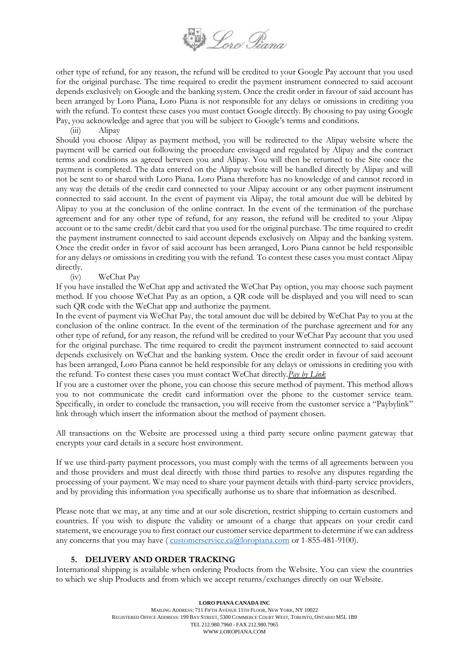

other type of refund, for any reason, the refund will be credited to your Google Pay account that you used for the original purchase. The time required to credit the payment instrument connected to said account depends exclusively on Google and the banking system. Once the credit order in favour of said account has been arranged by Loro Piana, Loro Piana is not responsible for any delays or omissions in crediting you with the refund. To contest these cases you must contact Google directly. By choosing to pay using Google Pay, you acknowledge and agree that you will be subject to Google's terms and conditions.

(iii) Alipay

Should you choose Alipay as payment method, you will be redirected to the Alipay website where the payment will be carried out following the procedure envisaged and regulated by Alipay and the contract terms and conditions as agreed between you and Alipay. You will then be returned to the Site once the payment is completed. The data entered on the Alipay website will be handled directly by Alipay and will not be sent to or shared with Loro Piana. Loro Piana therefore has no knowledge of and cannot record in any way the details of the credit card connected to your Alipay account or any other payment instrument connected to said account. In the event of payment via Alipay, the total amount due will be debited by Alipay to you at the conclusion of the online contract. In the event of the termination of the purchase agreement and for any other type of refund, for any reason, the refund will be credited to your Alipay account or to the same credit/debit card that you used for the original purchase. The time required to credit the payment instrument connected to said account depends exclusively on Alipay and the banking system. Once the credit order in favor of said account has been arranged, Loro Piana cannot be held responsible for any delays or omissions in crediting you with the refund. To contest these cases you must contact Alipay directly.

#### (iv) WeChat Pay

If you have installed the WeChat app and activated the WeChat Pay option, you may choose such payment method. If you choose WeChat Pay as an option, a QR code will be displayed and you will need to scan such QR code with the WeChat app and authorize the payment.

In the event of payment via WeChat Pay, the total amount due will be debited by WeChat Pay to you at the conclusion of the online contract. In the event of the termination of the purchase agreement and for any other type of refund, for any reason, the refund will be credited to your WeChat Pay account that you used for the original purchase. The time required to credit the payment instrument connected to said account depends exclusively on WeChat and the banking system. Once the credit order in favour of said account has been arranged, Loro Piana cannot be held responsible for any delays or omissions in crediting you with the refund. To contest these cases you must contact WeChat directly.*Pay by Link*

If you are a customer over the phone, you can choose this secure method of payment. This method allows you to not communicate the credit card information over the phone to the customer service team. Specifically, in order to conclude the transaction, you will receive from the customer service a "Paybylink" link through which insert the information about the method of payment chosen.

All transactions on the Website are processed using a third party secure online payment gateway that encrypts your card details in a secure host environment.

If we use third-party payment processors, you must comply with the terms of all agreements between you and those providers and must deal directly with those third parties to resolve any disputes regarding the processing of your payment. We may need to share your payment details with third-party service providers, and by providing this information you specifically authorise us to share that information as described.

Please note that we may, at any time and at our sole discretion, restrict shipping to certain customers and countries. If you wish to dispute the validity or amount of a charge that appears on your credit card statement, we encourage you to first contact our customer service department to determine if we can address any concerns that you may have ( [customerservice.ca@loropiana.com](mailto:customerservice.eu@loropiana.com) or 1-855-481-9100).

#### **5. DELIVERY AND ORDER TRACKING**

International shipping is available when ordering Products from the Website. You can view the countries to which we ship Products and from which we accept returns/exchanges directly on our Website.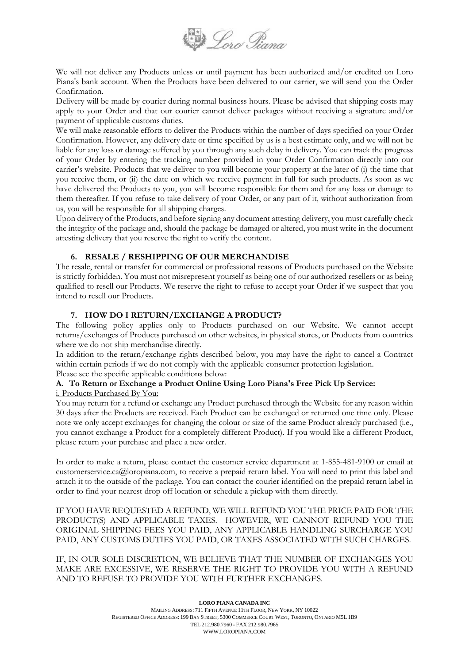

We will not deliver any Products unless or until payment has been authorized and/or credited on Loro Piana's bank account. When the Products have been delivered to our carrier, we will send you the Order Confirmation.

Delivery will be made by courier during normal business hours. Please be advised that shipping costs may apply to your Order and that our courier cannot deliver packages without receiving a signature and/or payment of applicable customs duties.

We will make reasonable efforts to deliver the Products within the number of days specified on your Order Confirmation. However, any delivery date or time specified by us is a best estimate only, and we will not be liable for any loss or damage suffered by you through any such delay in delivery. You can track the progress of your Order by entering the tracking number provided in your Order Confirmation directly into our carrier's website. Products that we deliver to you will become your property at the later of (i) the time that you receive them, or (ii) the date on which we receive payment in full for such products. As soon as we have delivered the Products to you, you will become responsible for them and for any loss or damage to them thereafter. If you refuse to take delivery of your Order, or any part of it, without authorization from us, you will be responsible for all shipping charges.

Upon delivery of the Products, and before signing any document attesting delivery, you must carefully check the integrity of the package and, should the package be damaged or altered, you must write in the document attesting delivery that you reserve the right to verify the content.

#### **6. RESALE / RESHIPPING OF OUR MERCHANDISE**

The resale, rental or transfer for commercial or professional reasons of Products purchased on the Website is strictly forbidden. You must not misrepresent yourself as being one of our authorized resellers or as being qualified to resell our Products. We reserve the right to refuse to accept your Order if we suspect that you intend to resell our Products.

### **7. HOW DO I RETURN/EXCHANGE A PRODUCT?**

The following policy applies only to Products purchased on our Website. We cannot accept returns/exchanges of Products purchased on other websites, in physical stores, or Products from countries where we do not ship merchandise directly.

In addition to the return/exchange rights described below, you may have the right to cancel a Contract within certain periods if we do not comply with the applicable consumer protection legislation. Please see the specific applicable conditions below:

# **A. To Return or Exchange a Product Online Using Loro Piana's Free Pick Up Service:**

i. Products Purchased By You:

You may return for a refund or exchange any Product purchased through the Website for any reason within 30 days after the Products are received. Each Product can be exchanged or returned one time only. Please note we only accept exchanges for changing the colour or size of the same Product already purchased (i.e., you cannot exchange a Product for a completely different Product). If you would like a different Product, please return your purchase and place a new order.

In order to make a return, please contact the customer service department at 1-855-481-9100 or email at customerservice.ca@loropiana.com, to receive a prepaid return label. You will need to print this label and attach it to the outside of the package. You can contact the courier identified on the prepaid return label in order to find your nearest drop off location or schedule a pickup with them directly.

IF YOU HAVE REQUESTED A REFUND, WE WILL REFUND YOU THE PRICE PAID FOR THE PRODUCT(S) AND APPLICABLE TAXES. HOWEVER, WE CANNOT REFUND YOU THE ORIGINAL SHIPPING FEES YOU PAID, ANY APPLICABLE HANDLING SURCHARGE YOU PAID, ANY CUSTOMS DUTIES YOU PAID, OR TAXES ASSOCIATED WITH SUCH CHARGES.

IF, IN OUR SOLE DISCRETION, WE BELIEVE THAT THE NUMBER OF EXCHANGES YOU MAKE ARE EXCESSIVE, WE RESERVE THE RIGHT TO PROVIDE YOU WITH A REFUND AND TO REFUSE TO PROVIDE YOU WITH FURTHER EXCHANGES.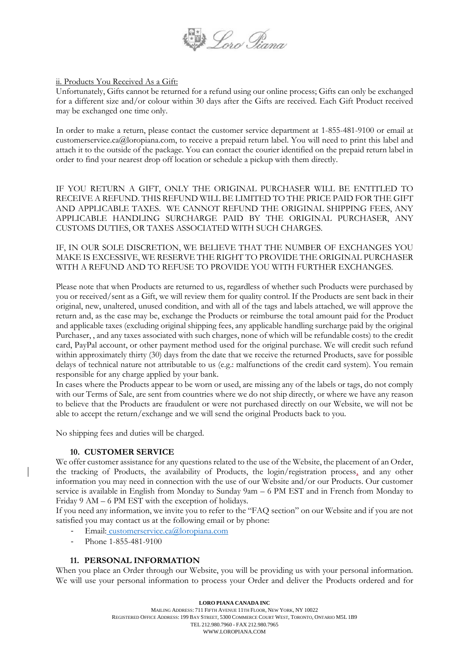

ii. Products You Received As a Gift:

Unfortunately, Gifts cannot be returned for a refund using our online process; Gifts can only be exchanged for a different size and/or colour within 30 days after the Gifts are received. Each Gift Product received may be exchanged one time only.

In order to make a return, please contact the customer service department at 1-855-481-9100 or email at customerservice.ca@loropiana.com, to receive a prepaid return label. You will need to print this label and attach it to the outside of the package. You can contact the courier identified on the prepaid return label in order to find your nearest drop off location or schedule a pickup with them directly.

IF YOU RETURN A GIFT, ONLY THE ORIGINAL PURCHASER WILL BE ENTITLED TO RECEIVE A REFUND. THIS REFUND WILL BE LIMITED TO THE PRICE PAID FOR THE GIFT AND APPLICABLE TAXES. WE CANNOT REFUND THE ORIGINAL SHIPPING FEES, ANY APPLICABLE HANDLING SURCHARGE PAID BY THE ORIGINAL PURCHASER, ANY CUSTOMS DUTIES, OR TAXES ASSOCIATED WITH SUCH CHARGES.

IF, IN OUR SOLE DISCRETION, WE BELIEVE THAT THE NUMBER OF EXCHANGES YOU MAKE IS EXCESSIVE, WE RESERVE THE RIGHT TO PROVIDE THE ORIGINAL PURCHASER WITH A REFUND AND TO REFUSE TO PROVIDE YOU WITH FURTHER EXCHANGES.

Please note that when Products are returned to us, regardless of whether such Products were purchased by you or received/sent as a Gift, we will review them for quality control. If the Products are sent back in their original, new, unaltered, unused condition, and with all of the tags and labels attached, we will approve the return and, as the case may be, exchange the Products or reimburse the total amount paid for the Product and applicable taxes (excluding original shipping fees, any applicable handling surcharge paid by the original Purchaser, , and any taxes associated with such charges, none of which will be refundable costs) to the credit card, PayPal account, or other payment method used for the original purchase. We will credit such refund within approximately thirty (30) days from the date that we receive the returned Products, save for possible delays of technical nature not attributable to us (e.g.: malfunctions of the credit card system). You remain responsible for any charge applied by your bank.

In cases where the Products appear to be worn or used, are missing any of the labels or tags, do not comply with our Terms of Sale, are sent from countries where we do not ship directly, or where we have any reason to believe that the Products are fraudulent or were not purchased directly on our Website, we will not be able to accept the return/exchange and we will send the original Products back to you.

<span id="page-6-0"></span>No shipping fees and duties will be charged.

#### **10. CUSTOMER SERVICE**

We offer customer assistance for any questions related to the use of the Website, the placement of an Order, the tracking of Products, the availability of Products, the login/registration process, and any other information you may need in connection with the use of our Website and/or our Products. Our customer service is available in English from Monday to Sunday 9am – 6 PM EST and in French from Monday to Friday 9 AM – 6 PM EST with the exception of holidays.

If you need any information, we invite you to refer to the "FAQ section" on our Website and if you are not satisfied you may contact us at the following email or by phone:

- Email: [customerservice.ca@loropiana.com](mailto:%20customerservice.ca@loropiana.com)
- Phone 1-855-481-9100

#### **11. PERSONAL INFORMATION**

When you place an Order through our Website, you will be providing us with your personal information. We will use your personal information to process your Order and deliver the Products ordered and for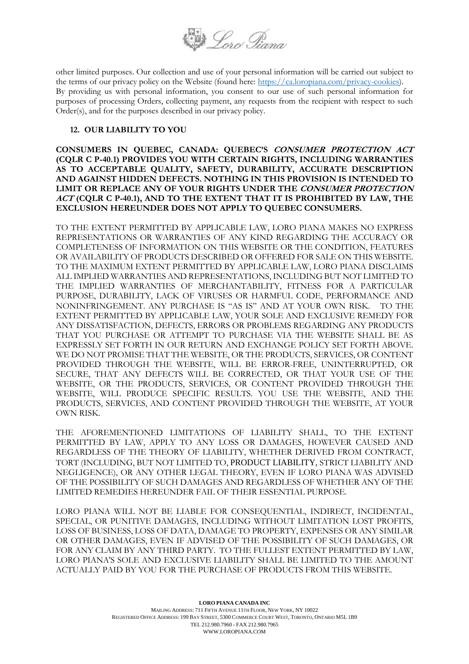

other limited purposes. Our collection and use of your personal information will be carried out subject to the terms of our privacy policy on the Website (found here: [https://ca.loropiana.com/privacy-cookies\)](https://ca.loropiana.com/privacy-cookies). By providing us with personal information, you consent to our use of such personal information for purposes of processing Orders, collecting payment, any requests from the recipient with respect to such Order(s), and for the purposes described in our privacy policy.

#### **12. OUR LIABILITY TO YOU**

**CONSUMERS IN QUEBEC, CANADA: QUEBEC'S CONSUMER PROTECTION ACT (CQLR C P-40.1) PROVIDES YOU WITH CERTAIN RIGHTS, INCLUDING WARRANTIES AS TO ACCEPTABLE QUALITY, SAFETY, DURABILITY, ACCURATE DESCRIPTION AND AGAINST HIDDEN DEFECTS. NOTHING IN THIS PROVISION IS INTENDED TO LIMIT OR REPLACE ANY OF YOUR RIGHTS UNDER THE CONSUMER PROTECTION ACT (CQLR C P-40.1), AND TO THE EXTENT THAT IT IS PROHIBITED BY LAW, THE EXCLUSION HEREUNDER DOES NOT APPLY TO QUEBEC CONSUMERS.**

TO THE EXTENT PERMITTED BY APPLICABLE LAW, LORO PIANA MAKES NO EXPRESS REPRESENTATIONS OR WARRANTIES OF ANY KIND REGARDING THE ACCURACY OR COMPLETENESS OF INFORMATION ON THIS WEBSITE OR THE CONDITION, FEATURES OR AVAILABILITY OF PRODUCTS DESCRIBED OR OFFERED FOR SALE ON THIS WEBSITE. TO THE MAXIMUM EXTENT PERMITTED BY APPLICABLE LAW, LORO PIANA DISCLAIMS ALL IMPLIED WARRANTIES AND REPRESENTATIONS, INCLUDING BUT NOT LIMITED TO THE IMPLIED WARRANTIES OF MERCHANTABILITY, FITNESS FOR A PARTICULAR PURPOSE, DURABILITY, LACK OF VIRUSES OR HARMFUL CODE, PERFORMANCE AND NONINFRINGEMENT. ANY PURCHASE IS "AS IS" AND AT YOUR OWN RISK. TO THE EXTENT PERMITTED BY APPLICABLE LAW, YOUR SOLE AND EXCLUSIVE REMEDY FOR ANY DISSATISFACTION, DEFECTS, ERRORS OR PROBLEMS REGARDING ANY PRODUCTS THAT YOU PURCHASE OR ATTEMPT TO PURCHASE VIA THE WEBSITE SHALL BE AS EXPRESSLY SET FORTH IN OUR RETURN AND EXCHANGE POLICY SET FORTH ABOVE. WE DO NOT PROMISE THAT THE WEBSITE, OR THE PRODUCTS, SERVICES, OR CONTENT PROVIDED THROUGH THE WEBSITE, WILL BE ERROR-FREE, UNINTERRUPTED, OR SECURE, THAT ANY DEFECTS WILL BE CORRECTED, OR THAT YOUR USE OF THE WEBSITE, OR THE PRODUCTS, SERVICES, OR CONTENT PROVIDED THROUGH THE WEBSITE, WILL PRODUCE SPECIFIC RESULTS. YOU USE THE WEBSITE, AND THE PRODUCTS, SERVICES, AND CONTENT PROVIDED THROUGH THE WEBSITE, AT YOUR OWN RISK.

THE AFOREMENTIONED LIMITATIONS OF LIABILITY SHALL, TO THE EXTENT PERMITTED BY LAW, APPLY TO ANY LOSS OR DAMAGES, HOWEVER CAUSED AND REGARDLESS OF THE THEORY OF LIABILITY, WHETHER DERIVED FROM CONTRACT, TORT (INCLUDING, BUT NOT LIMITED TO, PRODUCT LIABILITY, STRICT LIABILITY AND NEGLIGENCE), OR ANY OTHER LEGAL THEORY, EVEN IF LORO PIANA WAS ADVISED OF THE POSSIBILITY OF SUCH DAMAGES AND REGARDLESS OF WHETHER ANY OF THE LIMITED REMEDIES HEREUNDER FAIL OF THEIR ESSENTIAL PURPOSE.

LORO PIANA WILL NOT BE LIABLE FOR CONSEQUENTIAL, INDIRECT, INCIDENTAL, SPECIAL, OR PUNITIVE DAMAGES, INCLUDING WITHOUT LIMITATION LOST PROFITS, LOSS OF BUSINESS, LOSS OF DATA, DAMAGE TO PROPERTY, EXPENSES OR ANY SIMILAR OR OTHER DAMAGES, EVEN IF ADVISED OF THE POSSIBILITY OF SUCH DAMAGES, OR FOR ANY CLAIM BY ANY THIRD PARTY. TO THE FULLEST EXTENT PERMITTED BY LAW, LORO PIANA'S SOLE AND EXCLUSIVE LIABILITY SHALL BE LIMITED TO THE AMOUNT ACTUALLY PAID BY YOU FOR THE PURCHASE OF PRODUCTS FROM THIS WEBSITE.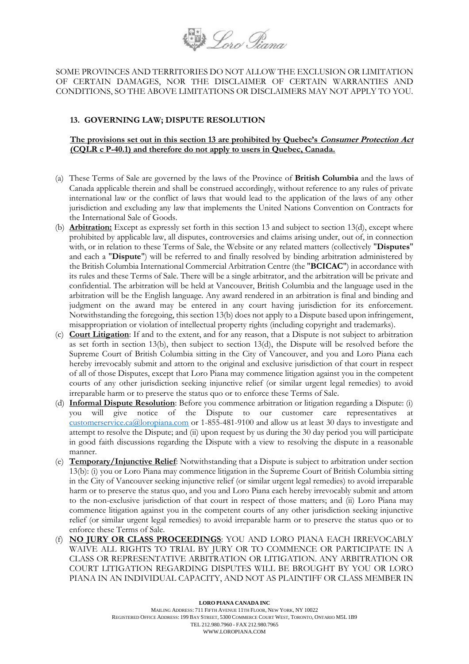

SOME PROVINCES AND TERRITORIES DO NOT ALLOW THE EXCLUSION OR LIMITATION OF CERTAIN DAMAGES, NOR THE DISCLAIMER OF CERTAIN WARRANTIES AND CONDITIONS, SO THE ABOVE LIMITATIONS OR DISCLAIMERS MAY NOT APPLY TO YOU.

#### <span id="page-8-0"></span>**13. GOVERNING LAW; DISPUTE RESOLUTION**

#### **The provisions set out in this section [13](#page-8-0) are prohibited by Quebec's Consumer Protection Act (CQLR c P-40.1) and therefore do not apply to users in Quebec, Canada.**

- (a) These Terms of Sale are governed by the laws of the Province of **British Columbia** and the laws of Canada applicable therein and shall be construed accordingly, without reference to any rules of private international law or the conflict of laws that would lead to the application of the laws of any other jurisdiction and excluding any law that implements the United Nations Convention on Contracts for the International Sale of Goods.
- (b) **Arbitration:** Except as expressly set forth in this section 13 and subject to section 13(d), except where prohibited by applicable law, all disputes, controversies and claims arising under, out of, in connection with, or in relation to these Terms of Sale, the Website or any related matters (collectively "**Disputes**" and each a "**Dispute**") will be referred to and finally resolved by binding arbitration administered by the British Columbia International Commercial Arbitration Centre (the "**BCICAC**") in accordance with its rules and these Terms of Sale. There will be a single arbitrator, and the arbitration will be private and confidential. The arbitration will be held at Vancouver, British Columbia and the language used in the arbitration will be the English language. Any award rendered in an arbitration is final and binding and judgment on the award may be entered in any court having jurisdiction for its enforcement. Notwithstanding the foregoing, this section 13(b) does not apply to a Dispute based upon infringement, misappropriation or violation of intellectual property rights (including copyright and trademarks).
- (c) **Court Litigation**: If and to the extent, and for any reason, that a Dispute is not subject to arbitration as set forth in section 13(b), then subject to section 13(d), the Dispute will be resolved before the Supreme Court of British Columbia sitting in the City of Vancouver, and you and Loro Piana each hereby irrevocably submit and attorn to the original and exclusive jurisdiction of that court in respect of all of those Disputes, except that Loro Piana may commence litigation against you in the competent courts of any other jurisdiction seeking injunctive relief (or similar urgent legal remedies) to avoid irreparable harm or to preserve the status quo or to enforce these Terms of Sale.
- (d) **Informal Dispute Resolution**: Before you commence arbitration or litigation regarding a Dispute: (i) you will give notice of the Dispute to our customer care representatives at [customerservice.ca@loropiana.com](mailto:customerservice.ca@loropiana.com) or 1-855-481-9100 and allow us at least 30 days to investigate and attempt to resolve the Dispute; and (ii) upon request by us during the 30 day period you will participate in good faith discussions regarding the Dispute with a view to resolving the dispute in a reasonable manner.
- (e) **Temporary/Injunctive Relief**: Notwithstanding that a Dispute is subject to arbitration under section 13(b): (i) you or Loro Piana may commence litigation in the Supreme Court of British Columbia sitting in the City of Vancouver seeking injunctive relief (or similar urgent legal remedies) to avoid irreparable harm or to preserve the status quo, and you and Loro Piana each hereby irrevocably submit and attorn to the non-exclusive jurisdiction of that court in respect of those matters; and (ii) Loro Piana may commence litigation against you in the competent courts of any other jurisdiction seeking injunctive relief (or similar urgent legal remedies) to avoid irreparable harm or to preserve the status quo or to enforce these Terms of Sale.
- (f) **NO JURY OR CLASS PROCEEDINGS**: YOU AND LORO PIANA EACH IRREVOCABLY WAIVE ALL RIGHTS TO TRIAL BY JURY OR TO COMMENCE OR PARTICIPATE IN A CLASS OR REPRESENTATIVE ARBITRATION OR LITIGATION. ANY ARBITRATION OR COURT LITIGATION REGARDING DISPUTES WILL BE BROUGHT BY YOU OR LORO PIANA IN AN INDIVIDUAL CAPACITY, AND NOT AS PLAINTIFF OR CLASS MEMBER IN